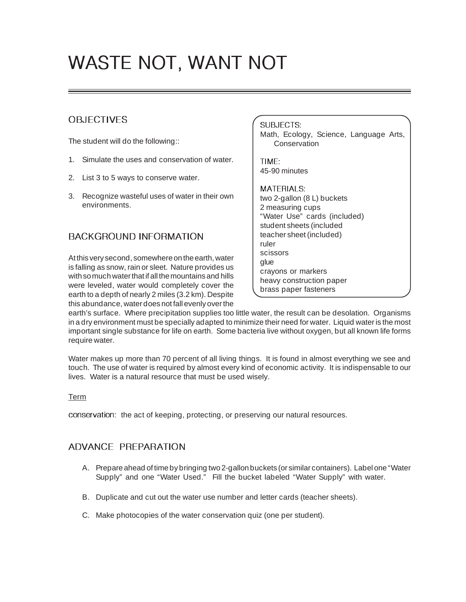# WASTE NOT, WANT NOT

# **OBJECTIVES**

The student will do the following::

- 1. Simulate the uses and conservation of water.
- 2. List 3 to 5 ways to conserve water.
- 3. Recognize wasteful uses of water in their own environments.

## BACKGROUND INFORMATION

At this very second, somewhere on the earth, water is falling as snow, rain or sleet. Nature provides us with so much water that if all the mountains and hills were leveled, water would completely cover the earth to a depth of nearly 2 miles (3.2 km). Despite this abundance, water does not fall evenly over the

#### SUBJECTS:

Math, Ecology, Science, Language Arts, **Conservation** 

TIME: 45-90 minutes

#### MATERIALS:

two 2-gallon (8 L) buckets 2 measuring cups "Water Use" cards (included) student sheets (included teacher sheet (included) ruler scissors glue crayons or markers heavy construction paper brass paper fasteners

earth's surface. Where precipitation supplies too little water, the result can be desolation. Organisms in a dry environment must be specially adapted to minimize their need for water. Liquid water is the most important single substance for life on earth. Some bacteria live without oxygen, but all known life forms require water.

Water makes up more than 70 percent of all living things. It is found in almost everything we see and touch. The use of water is required by almost every kind of economic activity. It is indispensable to our lives. Water is a natural resource that must be used wisely.

#### Term

conservation: the act of keeping, protecting, or preserving our natural resources.

## ADVANCE PREPARATION

- A. Prepare ahead of time by bringing two 2-gallon buckets (or similar containers). Label one "Water Supply" and one "Water Used." Fill the bucket labeled "Water Supply" with water.
- B. Duplicate and cut out the water use number and letter cards (teacher sheets).
- C. Make photocopies of the water conservation quiz (one per student).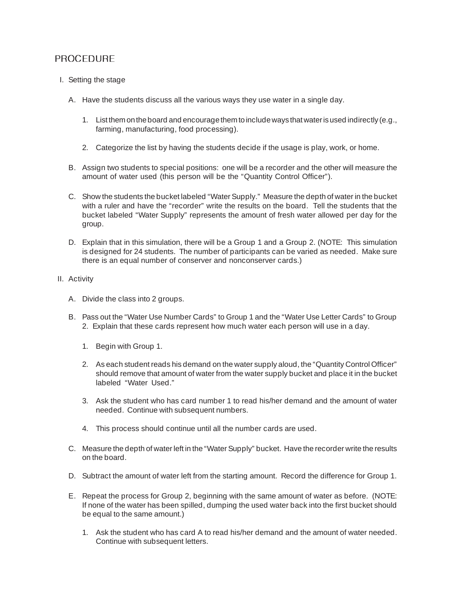## PROCEDURE

- I. Setting the stage
	- A. Have the students discuss all the various ways they use water in a single day.
		- 1. List them on the board and encourage them to include ways that water is used indirectly (e.g., farming, manufacturing, food processing).
		- 2. Categorize the list by having the students decide if the usage is play, work, or home.
	- B. Assign two students to special positions: one will be a recorder and the other will measure the amount of water used (this person will be the "Quantity Control Officer").
	- C. Show the students the bucket labeled "Water Supply." Measure the depth of water in the bucket with a ruler and have the "recorder" write the results on the board. Tell the students that the bucket labeled "Water Supply" represents the amount of fresh water allowed per day for the group.
	- D. Explain that in this simulation, there will be a Group 1 and a Group 2. (NOTE: This simulation is designed for 24 students. The number of participants can be varied as needed. Make sure there is an equal number of conserver and nonconserver cards.)
- II. Activity
	- A. Divide the class into 2 groups.
	- B. Pass out the "Water Use Number Cards" to Group 1 and the "Water Use Letter Cards" to Group 2. Explain that these cards represent how much water each person will use in a day.
		- 1. Begin with Group 1.
		- 2. As each student reads his demand on the water supply aloud, the "Quantity Control Officer" should remove that amount of water from the water supply bucket and place it in the bucket labeled "Water Used."
		- 3. Ask the student who has card number 1 to read his/her demand and the amount of water needed. Continue with subsequent numbers.
		- 4. This process should continue until all the number cards are used.
	- C. Measure the depth of water left in the "Water Supply" bucket. Have the recorder write the results on the board.
	- D. Subtract the amount of water left from the starting amount. Record the difference for Group 1.
	- E. Repeat the process for Group 2, beginning with the same amount of water as before. (NOTE: If none of the water has been spilled, dumping the used water back into the first bucket should be equal to the same amount.)
		- 1. Ask the student who has card A to read his/her demand and the amount of water needed. Continue with subsequent letters.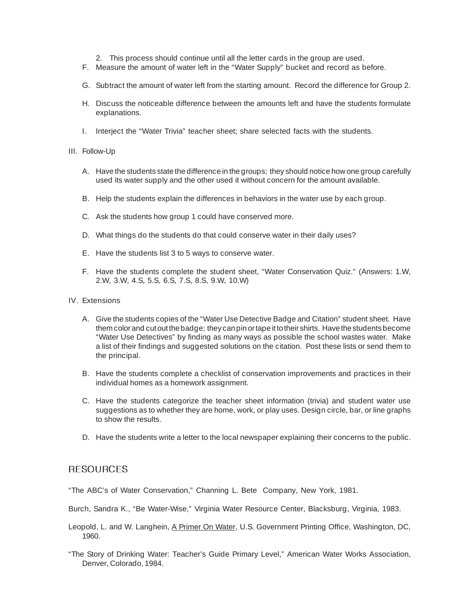- 2. This process should continue until all the letter cards in the group are used.
- F. Measure the amount of water left in the "Water Supply" bucket and record as before.
- G. Subtract the amount of water left from the starting amount. Record the difference for Group 2.
- H. Discuss the noticeable difference between the amounts left and have the students formulate explanations.
- I. Interject the "Water Trivia" teacher sheet; share selected facts with the students.
- III. Follow-Up
	- A. Have the students state the difference in the groups; they should notice how one group carefully used its water supply and the other used it without concern for the amount available.
	- B. Help the students explain the differences in behaviors in the water use by each group.
	- C. Ask the students how group 1 could have conserved more.
	- D. What things do the students do that could conserve water in their daily uses?
	- E. Have the students list 3 to 5 ways to conserve water.
	- F. Have the students complete the student sheet, "Water Conservation Quiz." (Answers: 1.W, 2.W, 3.W, 4.S, 5.S, 6.S, 7.S, 8.S, 9.W, 10.W)
- IV. Extensions
	- A. Give the students copies of the "Water Use Detective Badge and Citation" student sheet. Have them color and cut out the badge; they can pin or tape it to their shirts. Have the students become "Water Use Detectives" by finding as many ways as possible the school wastes water. Make a list of their findings and suggested solutions on the citation. Post these lists or send them to the principal.
	- B. Have the students complete a checklist of conservation improvements and practices in their individual homes as a homework assignment.
	- C. Have the students categorize the teacher sheet information (trivia) and student water use suggestions as to whether they are home, work, or play uses. Design circle, bar, or line graphs to show the results.
	- D. Have the students write a letter to the local newspaper explaining their concerns to the public.

#### **RESOURCES**

"The ABC's of Water Conservation," Channing L. Bete Company, New York, 1981.

- Burch, Sandra K., "Be Water-Wise," Virginia Water Resource Center, Blacksburg, Virginia, 1983.
- Leopold, L. and W. Langhein, A Primer On Water, U.S. Government Printing Office, Washington, DC, 1960.
- "The Story of Drinking Water: Teacher's Guide Primary Level," American Water Works Association, Denver, Colorado, 1984.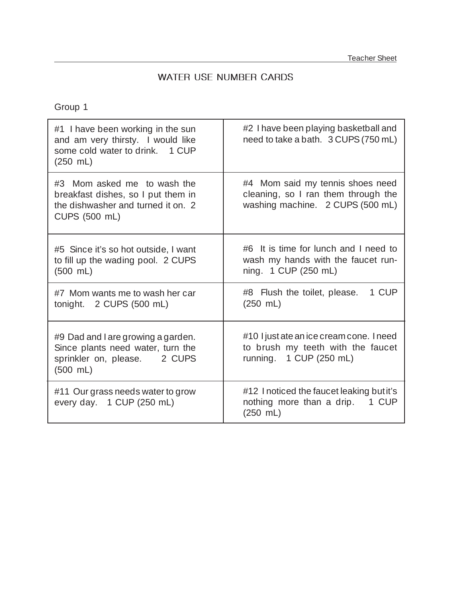# WATER USE NUMBER CARDS

Group 1

| #1 I have been working in the sun<br>and am very thirsty. I would like<br>some cold water to drink. 1 CUP<br>$(250 \; \text{m})$ | #2 I have been playing basketball and<br>need to take a bath. 3 CUPS (750 mL)                               |
|----------------------------------------------------------------------------------------------------------------------------------|-------------------------------------------------------------------------------------------------------------|
| #3 Mom asked me to wash the<br>breakfast dishes, so I put them in<br>the dishwasher and turned it on. 2<br>CUPS (500 mL)         | #4 Mom said my tennis shoes need<br>cleaning, so I ran them through the<br>washing machine. 2 CUPS (500 mL) |
| #5 Since it's so hot outside, I want<br>to fill up the wading pool. 2 CUPS<br>$(500 \, \text{mL})$                               | #6 It is time for lunch and I need to<br>wash my hands with the faucet run-<br>ning. 1 CUP (250 mL)         |
| #7 Mom wants me to wash her car<br>tonight. 2 CUPS (500 mL)                                                                      | 1 CUP<br>#8 Flush the toilet, please.<br>$(250 \; \text{mL})$                                               |
| #9 Dad and I are growing a garden.<br>Since plants need water, turn the<br>sprinkler on, please. 2 CUPS<br>$(500 \, \text{mL})$  | #10 I just ate an ice cream cone. I need<br>to brush my teeth with the faucet<br>running. 1 CUP (250 mL)    |
| #11 Our grass needs water to grow<br>every day. 1 CUP (250 mL)                                                                   | #12 I noticed the faucet leaking but it's<br>nothing more than a drip. 1 CUP<br>$(250 \; \text{m})$         |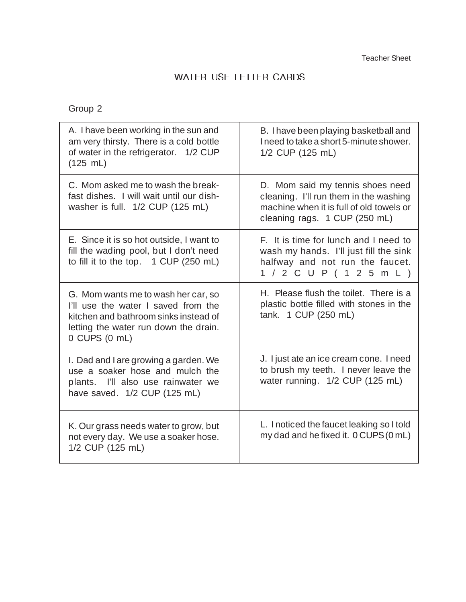# WATER USE LETTER CARDS

Group 2

| A. I have been working in the sun and<br>am very thirsty. There is a cold bottle<br>of water in the refrigerator. 1/2 CUP<br>(125 mL)                                         | B. I have been playing basketball and<br>I need to take a short 5-minute shower.<br>1/2 CUP (125 mL)                                                    |
|-------------------------------------------------------------------------------------------------------------------------------------------------------------------------------|---------------------------------------------------------------------------------------------------------------------------------------------------------|
| C. Mom asked me to wash the break-<br>fast dishes. I will wait until our dish-<br>washer is full. 1/2 CUP (125 mL)                                                            | D. Mom said my tennis shoes need<br>cleaning. I'll run them in the washing<br>machine when it is full of old towels or<br>cleaning rags. 1 CUP (250 mL) |
| E. Since it is so hot outside, I want to<br>fill the wading pool, but I don't need<br>to fill it to the top. 1 CUP (250 mL)                                                   | F. It is time for lunch and I need to<br>wash my hands. I'll just fill the sink<br>halfway and not run the faucet.<br>1 / 2 C U P ( 1 2 5 m L )         |
| G. Mom wants me to wash her car, so<br>I'll use the water I saved from the<br>kitchen and bathroom sinks instead of<br>letting the water run down the drain.<br>0 CUPS (0 mL) | H. Please flush the toilet. There is a<br>plastic bottle filled with stones in the<br>tank. 1 CUP (250 mL)                                              |
| I. Dad and I are growing a garden. We<br>use a soaker hose and mulch the<br>plants. I'll also use rainwater we<br>have saved. 1/2 CUP (125 mL)                                | J. I just ate an ice cream cone. I need<br>to brush my teeth. I never leave the<br>water running. 1/2 CUP (125 mL)                                      |
| K. Our grass needs water to grow, but<br>not every day. We use a soaker hose.<br>1/2 CUP (125 mL)                                                                             | L. I noticed the faucet leaking so I told<br>my dad and he fixed it. 0 CUPS (0 mL)                                                                      |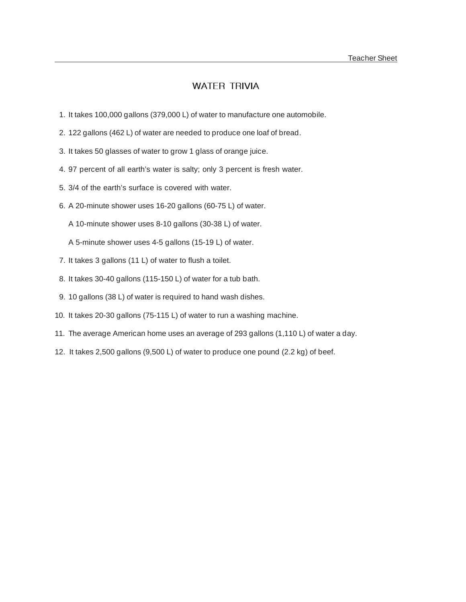## WATER TRIVIA

- 1. It takes 100,000 gallons (379,000 L) of water to manufacture one automobile.
- 2. 122 gallons (462 L) of water are needed to produce one loaf of bread.
- 3. It takes 50 glasses of water to grow 1 glass of orange juice.
- 4. 97 percent of all earth's water is salty; only 3 percent is fresh water.
- 5. 3/4 of the earth's surface is covered with water.
- 6. A 20-minute shower uses 16-20 gallons (60-75 L) of water.
	- A 10-minute shower uses 8-10 gallons (30-38 L) of water.
	- A 5-minute shower uses 4-5 gallons (15-19 L) of water.
- 7. It takes 3 gallons (11 L) of water to flush a toilet.
- 8. It takes 30-40 gallons (115-150 L) of water for a tub bath.
- 9. 10 gallons (38 L) of water is required to hand wash dishes.
- 10. It takes 20-30 gallons (75-115 L) of water to run a washing machine.
- 11. The average American home uses an average of 293 gallons (1,110 L) of water a day.
- 12. It takes 2,500 gallons (9,500 L) of water to produce one pound (2.2 kg) of beef.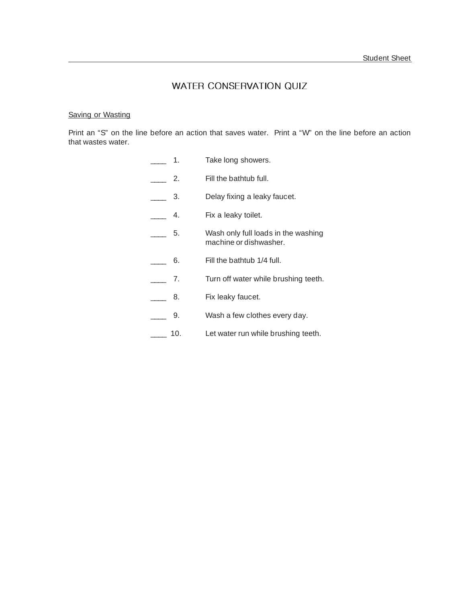#### WATER CONSERVATION QUIZ

#### Saving or Wasting

Print an "S" on the line before an action that saves water. Print a "W" on the line before an action that wastes water.

- **\_\_\_** 1. Take long showers.
- **2.** Fill the bathtub full.
- **\_\_\_\_** 3. Delay fixing a leaky faucet.
- **4.** Fix a leaky toilet.
- \_\_\_\_ 5. Wash only full loads in the washing machine or dishwasher.
- \_\_\_\_ 6. Fill the bathtub 1/4 full.
- \_\_\_\_ 7. Turn off water while brushing teeth.
- **\_\_\_** 8. Fix leaky faucet.
- \_\_\_\_ 9. Wash a few clothes every day.
- **\_\_\_\_** 10. Let water run while brushing teeth.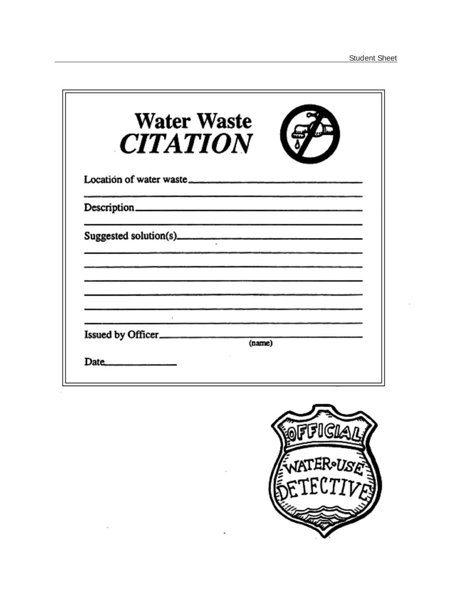| <b>Water Waste</b><br><b>CITATION</b>                                                           |  |
|-------------------------------------------------------------------------------------------------|--|
|                                                                                                 |  |
|                                                                                                 |  |
|                                                                                                 |  |
| the contract of the contract of the contract of the contract of the contract of the contract of |  |
| Issued by Officer<br>(name)                                                                     |  |
| Date $\qquad \qquad$                                                                            |  |

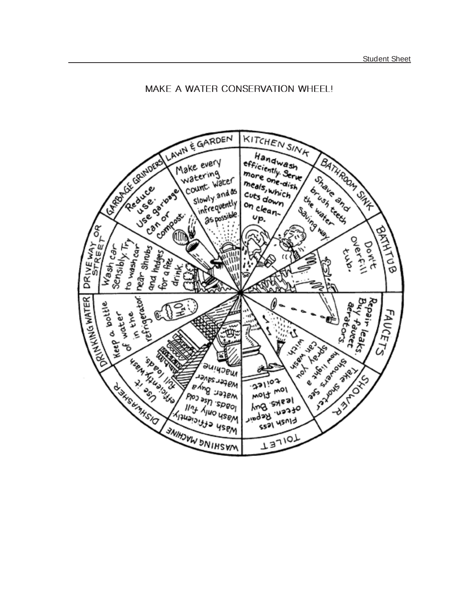#### MAKE A WATER CONSERVATION WHEEL!